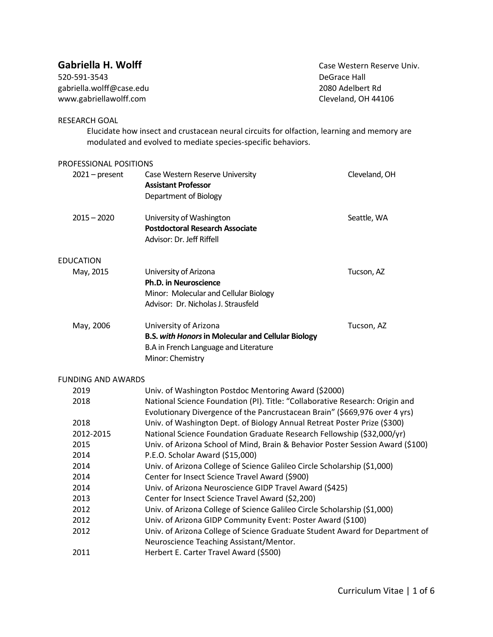| Gabriella H. Wolff<br>520-591-3543<br>gabriella.wolff@case.edu<br>www.gabriellawolff.com |                                                                                                                                                            | Case Western Reserve Uni<br>DeGrace Hall<br>2080 Adelbert Rd<br>Cleveland, OH 44106 |
|------------------------------------------------------------------------------------------|------------------------------------------------------------------------------------------------------------------------------------------------------------|-------------------------------------------------------------------------------------|
| <b>RESEARCH GOAL</b>                                                                     | Elucidate how insect and crustacean neural circuits for olfaction, learning and memory are<br>modulated and evolved to mediate species-specific behaviors. |                                                                                     |
| PROFESSIONAL POSITIONS                                                                   |                                                                                                                                                            |                                                                                     |
| $2021 - present$                                                                         | Case Western Reserve University<br><b>Assistant Professor</b><br>Department of Biology                                                                     | Cleveland, OH                                                                       |
| $2015 - 2020$                                                                            | University of Washington<br><b>Postdoctoral Research Associate</b><br>Advisor: Dr. Jeff Riffell                                                            | Seattle, WA                                                                         |

EDUCATION May, 2015 University of Arizona Tucson, AZ **Ph.D. in Neuroscience** Minor: Molecular and Cellular Biology Advisor: Dr. Nicholas J. Strausfeld May, 2006 University of Arizona Tucson, AZ **B.S.** *with Honors***in Molecular and Cellular Biology**  B.A in French Language and Literature

Minor: Chemistry

### FUNDING AND AWARDS

| 2019      | Univ. of Washington Postdoc Mentoring Award (\$2000)                           |
|-----------|--------------------------------------------------------------------------------|
| 2018      | National Science Foundation (PI). Title: "Collaborative Research: Origin and   |
|           | Evolutionary Divergence of the Pancrustacean Brain" (\$669,976 over 4 yrs)     |
| 2018      | Univ. of Washington Dept. of Biology Annual Retreat Poster Prize (\$300)       |
| 2012-2015 | National Science Foundation Graduate Research Fellowship (\$32,000/yr)         |
| 2015      | Univ. of Arizona School of Mind, Brain & Behavior Poster Session Award (\$100) |
| 2014      | P.E.O. Scholar Award (\$15,000)                                                |
| 2014      | Univ. of Arizona College of Science Galileo Circle Scholarship (\$1,000)       |
| 2014      | Center for Insect Science Travel Award (\$900)                                 |
| 2014      | Univ. of Arizona Neuroscience GIDP Travel Award (\$425)                        |
| 2013      | Center for Insect Science Travel Award (\$2,200)                               |
| 2012      | Univ. of Arizona College of Science Galileo Circle Scholarship (\$1,000)       |
| 2012      | Univ. of Arizona GIDP Community Event: Poster Award (\$100)                    |
| 2012      | Univ. of Arizona College of Science Graduate Student Award for Department of   |
|           | Neuroscience Teaching Assistant/Mentor.                                        |
| 2011      | Herbert E. Carter Travel Award (\$500)                                         |
|           |                                                                                |

estern Reserve Univ. 1d, OH 44106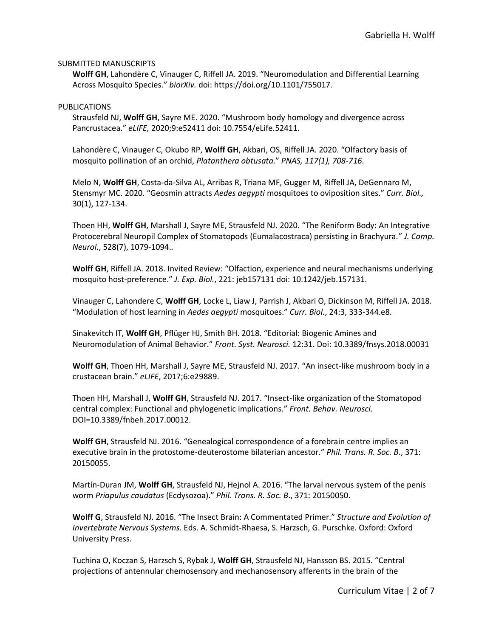### SUBMITTED MANUSCRIPTS

**Wolff GH**, Lahondère C, Vinauger C, Riffell JA. 2019. "Neuromodulation and Differential Learning Across Mosquito Species." *biorXiv.* doi: [https://doi.org/10.1101/755017.](https://doi.org/10.1101/755017)

#### PUBLICATIONS

Strausfeld NJ, **Wolff GH**, Sayre ME. 2020. "Mushroom body homology and divergence across Pancrustacea." *eLIFE,* 2020;9:e52411 doi: 10.7554/eLife.52411.

Lahondère C, Vinauger C, Okubo RP, **Wolff GH**, Akbari, OS, Riffell JA. 2020. "Olfactory basis of mosquito pollination of an orchid, *Platanthera obtusata*." *PNAS, 117(1), 708-716*.

Melo N, **Wolff GH**, Costa-da-Silva AL, Arribas R, Triana MF, Gugger M, Riffell JA, DeGennaro M, Stensmyr MC. 2020. "Geosmin attracts *Aedes aegypti* mosquitoes to oviposition sites." *Curr. Biol.,*  30(1), 127-134.

Thoen HH, **Wolff GH**, Marshall J, Sayre ME, Strausfeld NJ. 2020. "The Reniform Body: An Integrative Protocerebral Neuropil Complex of Stomatopods (Eumalacostraca) persisting in Brachyura." *J. Comp. Neurol.*, 528(7), 1079-1094.*.*

**Wolff GH**, Riffell JA. 2018. Invited Review: "Olfaction, experience and neural mechanisms underlying mosquito host-preference." *J. Exp. Biol.*, 221: jeb157131 doi: 10.1242/jeb.157131*.*

Vinauger C, Lahondere C, **Wolff GH**, Locke L, Liaw J, Parrish J, Akbari O, Dickinson M, Riffell JA. 2018. "Modulation of host learning in *Aedes aegypti* mosquitoes." *Curr. Biol.*, 24:3, 333-344.e8*.*

Sinakevitch IT, **Wolff GH**, Pflüger HJ, Smith BH. 2018. "Editorial: Biogenic Amines and Neuromodulation of Animal Behavior." *Front. Syst. Neurosci.* 12:31. Doi: 10.3389/fnsys.2018.00031

**Wolff GH**, Thoen HH, Marshall J, Sayre ME, Strausfeld NJ. 2017. "An insect-like mushroom body in a crustacean brain." *eLIFE*, 2017;6:e29889.

Thoen HH, Marshall J, **Wolff GH**, Strausfeld NJ. 2017. "Insect-like organization of the Stomatopod central complex: Functional and phylogenetic implications." *Front. Behav. Neurosci.* DOI=10.3389/fnbeh.2017.00012.

**Wolff GH**, Strausfeld NJ. 2016. "Genealogical correspondence of a forebrain centre implies an executive brain in the protostome-deuterostome bilaterian ancestor." *Phil. Trans. R. Soc. B*., 371: 20150055.

Martín-Duran JM, **Wolff GH**, Strausfeld NJ, Hejnol A. 2016. "The larval nervous system of the penis worm *Priapulus caudatus* (Ecdysozoa)." *Phil. Trans. R. Soc. B*., 371: 20150050.

**Wolff G**, Strausfeld NJ. 2016. "The Insect Brain: A Commentated Primer." *Structure and Evolution of Invertebrate Nervous Systems.* Eds. A. Schmidt-Rhaesa, S. Harzsch, G. Purschke. Oxford: Oxford University Press.

Tuchina O, Koczan S, Harzsch S, Rybak J, **Wolff GH**, Strausfeld NJ, Hansson BS. 2015. "Central projections of antennular chemosensory and mechanosensory afferents in the brain of the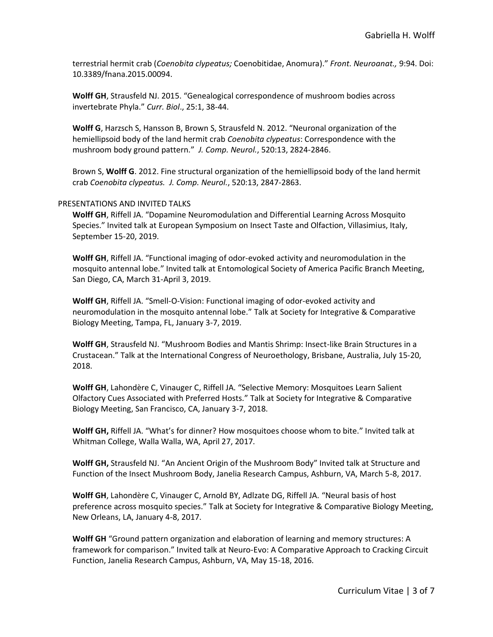terrestrial hermit crab (*Coenobita clypeatus;* Coenobitidae, Anomura)." *Front. Neuroanat.,* 9:94. Doi: 10.3389/fnana.2015.00094.

**Wolff GH**, Strausfeld NJ. 2015. "Genealogical correspondence of mushroom bodies across invertebrate Phyla." *Curr. Biol*., 25:1, 38-44.

**Wolff G**, Harzsch S, Hansson B, Brown S, Strausfeld N. 2012. "Neuronal organization of the hemiellipsoid body of the land hermit crab *Coenobita clypeatus*: Correspondence with the mushroom body ground pattern." *J. Comp. Neurol.*, 520:13, 2824-2846.

Brown S, **Wolff G**. 2012. Fine structural organization of the hemiellipsoid body of the land hermit crab *Coenobita clypeatus. J. Comp. Neurol.*, 520:13, 2847-2863.

### PRESENTATIONS AND INVITED TALKS

**Wolff GH**, Riffell JA. "Dopamine Neuromodulation and Differential Learning Across Mosquito Species." Invited talk at European Symposium on Insect Taste and Olfaction, Villasimius, Italy, September 15-20, 2019.

**Wolff GH**, Riffell JA. "Functional imaging of odor-evoked activity and neuromodulation in the mosquito antennal lobe." Invited talk at Entomological Society of America Pacific Branch Meeting, San Diego, CA, March 31-April 3, 2019.

**Wolff GH**, Riffell JA. "Smell-O-Vision: Functional imaging of odor-evoked activity and neuromodulation in the mosquito antennal lobe." Talk at Society for Integrative & Comparative Biology Meeting, Tampa, FL, January 3-7, 2019.

**Wolff GH**, Strausfeld NJ. "Mushroom Bodies and Mantis Shrimp: Insect-like Brain Structures in a Crustacean." Talk at the International Congress of Neuroethology, Brisbane, Australia, July 15-20, 2018.

**Wolff GH**, Lahondère C, Vinauger C, Riffell JA. "Selective Memory: Mosquitoes Learn Salient Olfactory Cues Associated with Preferred Hosts." Talk at Society for Integrative & Comparative Biology Meeting, San Francisco, CA, January 3-7, 2018.

**Wolff GH,** Riffell JA. "What's for dinner? How mosquitoes choose whom to bite." Invited talk at Whitman College, Walla Walla, WA, April 27, 2017.

**Wolff GH,** Strausfeld NJ. "An Ancient Origin of the Mushroom Body" Invited talk at Structure and Function of the Insect Mushroom Body, Janelia Research Campus, Ashburn, VA, March 5-8, 2017.

**Wolff GH**, Lahondère C, Vinauger C, Arnold BY, Adlzate DG, Riffell JA. "Neural basis of host preference across mosquito species." Talk at Society for Integrative & Comparative Biology Meeting, New Orleans, LA, January 4-8, 2017.

**Wolff GH** "Ground pattern organization and elaboration of learning and memory structures: A framework for comparison." Invited talk at Neuro-Evo: A Comparative Approach to Cracking Circuit Function, Janelia Research Campus, Ashburn, VA, May 15-18, 2016.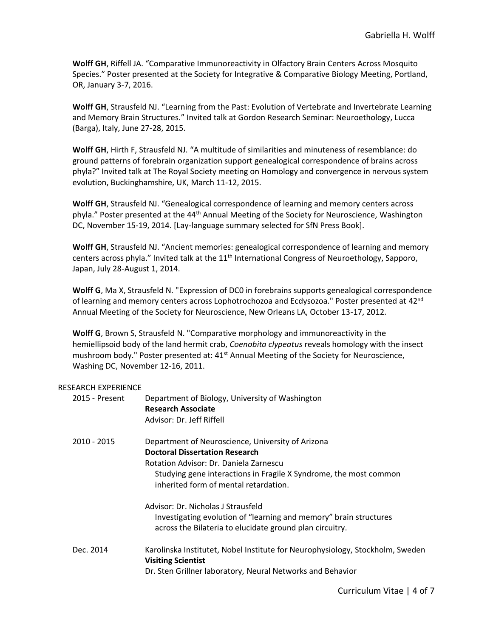**Wolff GH**, Riffell JA. "Comparative Immunoreactivity in Olfactory Brain Centers Across Mosquito Species." Poster presented at the Society for Integrative & Comparative Biology Meeting, Portland, OR, January 3-7, 2016.

**Wolff GH**, Strausfeld NJ. "Learning from the Past: Evolution of Vertebrate and Invertebrate Learning and Memory Brain Structures." Invited talk at Gordon Research Seminar: Neuroethology, Lucca (Barga), Italy, June 27-28, 2015.

**Wolff GH**, Hirth F, Strausfeld NJ. "A multitude of similarities and minuteness of resemblance: do ground patterns of forebrain organization support genealogical correspondence of brains across phyla?" Invited talk at The Royal Society meeting on Homology and convergence in nervous system evolution, Buckinghamshire, UK, March 11-12, 2015.

**Wolff GH**, Strausfeld NJ. "Genealogical correspondence of learning and memory centers across phyla." Poster presented at the 44<sup>th</sup> Annual Meeting of the Society for Neuroscience, Washington DC, November 15-19, 2014. [Lay-language summary selected for SfN Press Book].

**Wolff GH**, Strausfeld NJ. "Ancient memories: genealogical correspondence of learning and memory centers across phyla." Invited talk at the  $11<sup>th</sup>$  International Congress of Neuroethology, Sapporo, Japan, July 28-August 1, 2014.

**Wolff G**, Ma X, Strausfeld N. "Expression of DC0 in forebrains supports genealogical correspondence of learning and memory centers across Lophotrochozoa and Ecdysozoa." Poster presented at 42<sup>nd</sup> Annual Meeting of the Society for Neuroscience, New Orleans LA, October 13-17, 2012.

**Wolff G**, Brown S, Strausfeld N. "Comparative morphology and immunoreactivity in the hemiellipsoid body of the land hermit crab, *Coenobita clypeatus* reveals homology with the insect mushroom body." Poster presented at: 41<sup>st</sup> Annual Meeting of the Society for Neuroscience, Washing DC, November 12-16, 2011.

## RESEARCH EXPERIENCE

| 2015 - Present | Department of Biology, University of Washington<br><b>Research Associate</b><br>Advisor: Dr. Jeff Riffell                                                                                                                                          |
|----------------|----------------------------------------------------------------------------------------------------------------------------------------------------------------------------------------------------------------------------------------------------|
| 2010 - 2015    | Department of Neuroscience, University of Arizona<br><b>Doctoral Dissertation Research</b><br>Rotation Advisor: Dr. Daniela Zarnescu<br>Studying gene interactions in Fragile X Syndrome, the most common<br>inherited form of mental retardation. |
|                | Advisor: Dr. Nicholas J Strausfeld<br>Investigating evolution of "learning and memory" brain structures<br>across the Bilateria to elucidate ground plan circuitry.                                                                                |
| Dec. 2014      | Karolinska Institutet, Nobel Institute for Neurophysiology, Stockholm, Sweden<br><b>Visiting Scientist</b><br>Dr. Sten Grillner laboratory, Neural Networks and Behavior                                                                           |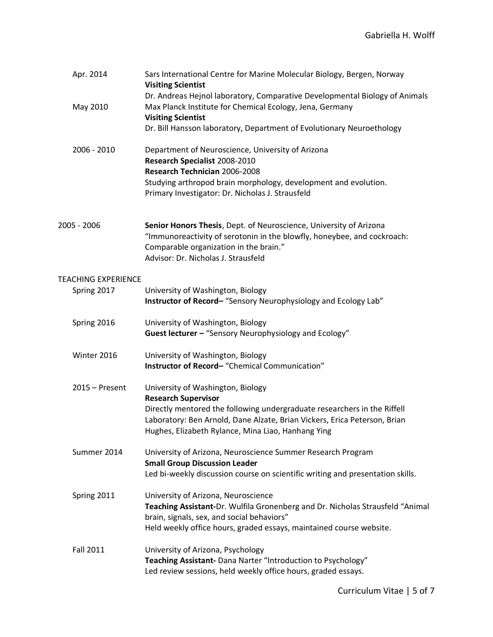| Apr. 2014                  | Sars International Centre for Marine Molecular Biology, Bergen, Norway<br><b>Visiting Scientist</b><br>Dr. Andreas Hejnol laboratory, Comparative Developmental Biology of Animals                                                        |
|----------------------------|-------------------------------------------------------------------------------------------------------------------------------------------------------------------------------------------------------------------------------------------|
| May 2010                   | Max Planck Institute for Chemical Ecology, Jena, Germany<br><b>Visiting Scientist</b>                                                                                                                                                     |
|                            | Dr. Bill Hansson laboratory, Department of Evolutionary Neuroethology                                                                                                                                                                     |
| 2006 - 2010                | Department of Neuroscience, University of Arizona<br>Research Specialist 2008-2010<br>Research Technician 2006-2008                                                                                                                       |
|                            | Studying arthropod brain morphology, development and evolution.<br>Primary Investigator: Dr. Nicholas J. Strausfeld                                                                                                                       |
| 2005 - 2006                | Senior Honors Thesis, Dept. of Neuroscience, University of Arizona<br>"Immunoreactivity of serotonin in the blowfly, honeybee, and cockroach:<br>Comparable organization in the brain."<br>Advisor: Dr. Nicholas J. Strausfeld            |
| <b>TEACHING EXPERIENCE</b> |                                                                                                                                                                                                                                           |
| Spring 2017                | University of Washington, Biology<br>Instructor of Record-"Sensory Neurophysiology and Ecology Lab"                                                                                                                                       |
| Spring 2016                | University of Washington, Biology<br>Guest lecturer - "Sensory Neurophysiology and Ecology"                                                                                                                                               |
| Winter 2016                | University of Washington, Biology<br>Instructor of Record-"Chemical Communication"                                                                                                                                                        |
| $2015 -$ Present           | University of Washington, Biology<br><b>Research Supervisor</b>                                                                                                                                                                           |
|                            | Directly mentored the following undergraduate researchers in the Riffell<br>Laboratory: Ben Arnold, Dane Alzate, Brian Vickers, Erica Peterson, Brian<br>Hughes, Elizabeth Rylance, Mina Liao, Hanhang Ying                               |
| Summer 2014                | University of Arizona, Neuroscience Summer Research Program<br><b>Small Group Discussion Leader</b><br>Led bi-weekly discussion course on scientific writing and presentation skills.                                                     |
| Spring 2011                | University of Arizona, Neuroscience<br>Teaching Assistant-Dr. Wulfila Gronenberg and Dr. Nicholas Strausfeld "Animal<br>brain, signals, sex, and social behaviors"<br>Held weekly office hours, graded essays, maintained course website. |
| <b>Fall 2011</b>           | University of Arizona, Psychology<br>Teaching Assistant- Dana Narter "Introduction to Psychology"<br>Led review sessions, held weekly office hours, graded essays.                                                                        |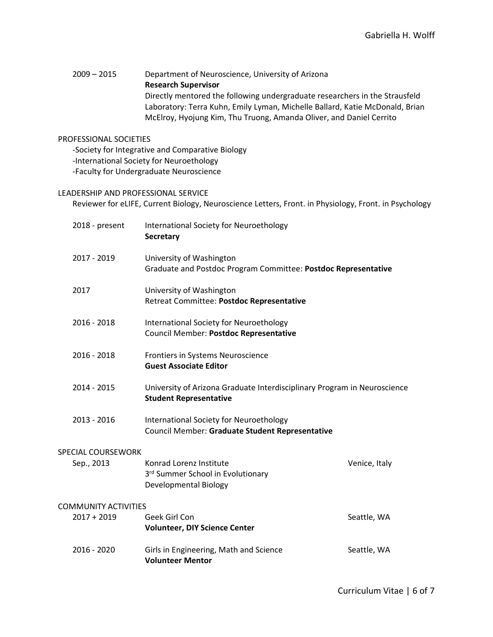# 2009 – 2015 Department of Neuroscience, University of Arizona **Research Supervisor** Directly mentored the following undergraduate researchers in the Strausfeld Laboratory: Terra Kuhn, Emily Lyman, Michelle Ballard, Katie McDonald, Brian McElroy, Hyojung Kim, Thu Truong, Amanda Oliver, and Daniel Cerrito

### PROFESSIONAL SOCIETIES

-Society for Integrative and Comparative Biology

-International Society for Neuroethology

-Faculty for Undergraduate Neuroscience

### LEADERSHIP AND PROFESSIONAL SERVICE

Reviewer for eLIFE, Current Biology, Neuroscience Letters, Front. in Physiology, Front. in Psychology

| 2018 - present                               | International Society for Neuroethology<br><b>Secretary</b>                                               |               |
|----------------------------------------------|-----------------------------------------------------------------------------------------------------------|---------------|
| 2017 - 2019                                  | University of Washington<br>Graduate and Postdoc Program Committee: Postdoc Representative                |               |
| 2017                                         | University of Washington<br>Retreat Committee: Postdoc Representative                                     |               |
| 2016 - 2018                                  | International Society for Neuroethology<br>Council Member: Postdoc Representative                         |               |
| 2016 - 2018                                  | Frontiers in Systems Neuroscience<br><b>Guest Associate Editor</b>                                        |               |
| 2014 - 2015                                  | University of Arizona Graduate Interdisciplinary Program in Neuroscience<br><b>Student Representative</b> |               |
| 2013 - 2016                                  | International Society for Neuroethology<br>Council Member: Graduate Student Representative                |               |
| <b>SPECIAL COURSEWORK</b>                    |                                                                                                           |               |
| Sep., 2013                                   | Konrad Lorenz Institute<br>3rd Summer School in Evolutionary<br>Developmental Biology                     | Venice, Italy |
| <b>COMMUNITY ACTIVITIES</b><br>$2017 + 2019$ | Geek Girl Con<br><b>Volunteer, DIY Science Center</b>                                                     | Seattle, WA   |
| 2016 - 2020                                  | Girls in Engineering, Math and Science<br><b>Volunteer Mentor</b>                                         | Seattle, WA   |